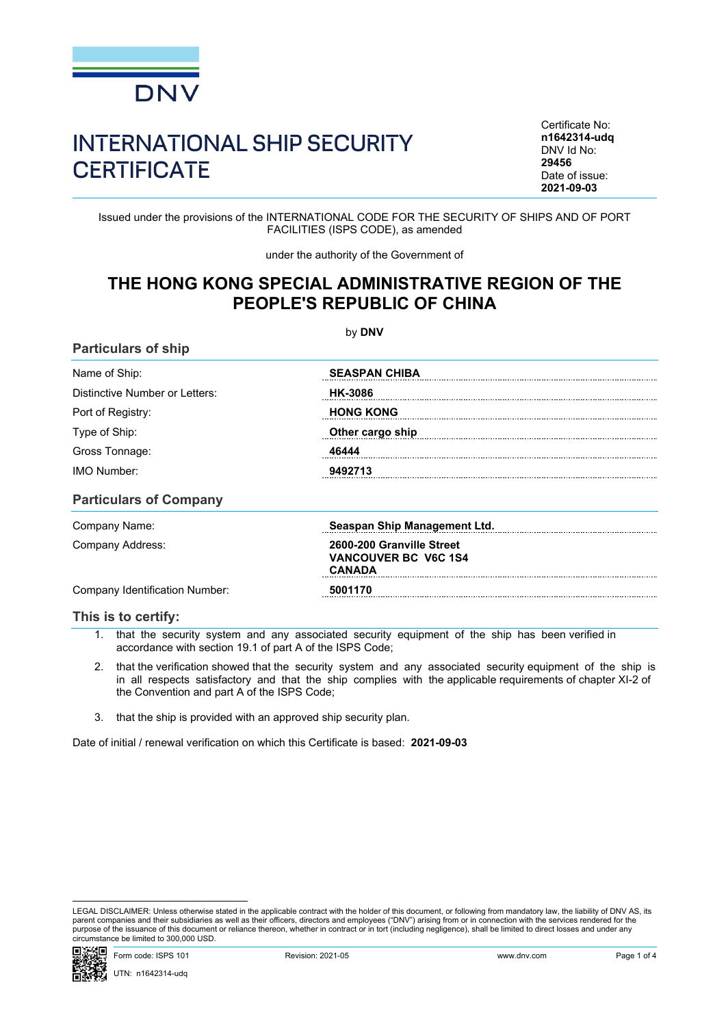

## INTERNATIONAL SHIP SECURITY **CERTIFICATE**

Certificate No: **n1642314-udq** DNV Id No: **29456** Date of issue: **2021-09-03**

Issued under the provisions of the INTERNATIONAL CODE FOR THE SECURITY OF SHIPS AND OF PORT FACILITIES (ISPS CODE), as amended

under the authority of the Government of

## **THE HONG KONG SPECIAL ADMINISTRATIVE REGION OF THE PEOPLE'S REPUBLIC OF CHINA**

| <b>Particulars of ship</b>     |                                                            |  |
|--------------------------------|------------------------------------------------------------|--|
| Name of Ship:                  | <b>SEASPAN CHIBA</b><br><b>HK-3086</b><br><b>HONG KONG</b> |  |
| Distinctive Number or Letters: |                                                            |  |
| Port of Registry:              |                                                            |  |
| Type of Ship:                  | Other cargo ship                                           |  |
| Gross Tonnage:                 | 46444                                                      |  |
| <b>IMO Number:</b>             | 9492713                                                    |  |
| <b>Particulars of Company</b>  |                                                            |  |
| Company Name:                  | Seaspan Ship Management Ltd.                               |  |
| Company Address:               | 2600-200 Granville Street<br><b>VANCOUVER BC V6C 1S4</b>   |  |

Company Identification Number: **5001170**

## **This is to certify:**

1. that the security system and any associated security equipment of the ship has been verified in accordance with section 19.1 of part A of the ISPS Code;

**CANADA**

- 2. that the verification showed that the security system and any associated security equipment of the ship is in all respects satisfactory and that the ship complies with the applicable requirements of chapter XI-2 of the Convention and part A of the ISPS Code;
- 3. that the ship is provided with an approved ship security plan.

Date of initial / renewal verification on which this Certificate is based: **2021-09-03**

LEGAL DISCLAIMER: Unless otherwise stated in the applicable contract with the holder of this document, or following from mandatory law, the liability of DNV AS, its parent companies and their subsidiaries as well as their officers, directors and employees ("DNV") arising from or in connection with the services rendered for the purpose of the issuance of this document or reliance thereon, whether in contract or in tort (including negligence), shall be limited to direct losses and under any circumstance be limited to 300,000 USD.



by **DNV**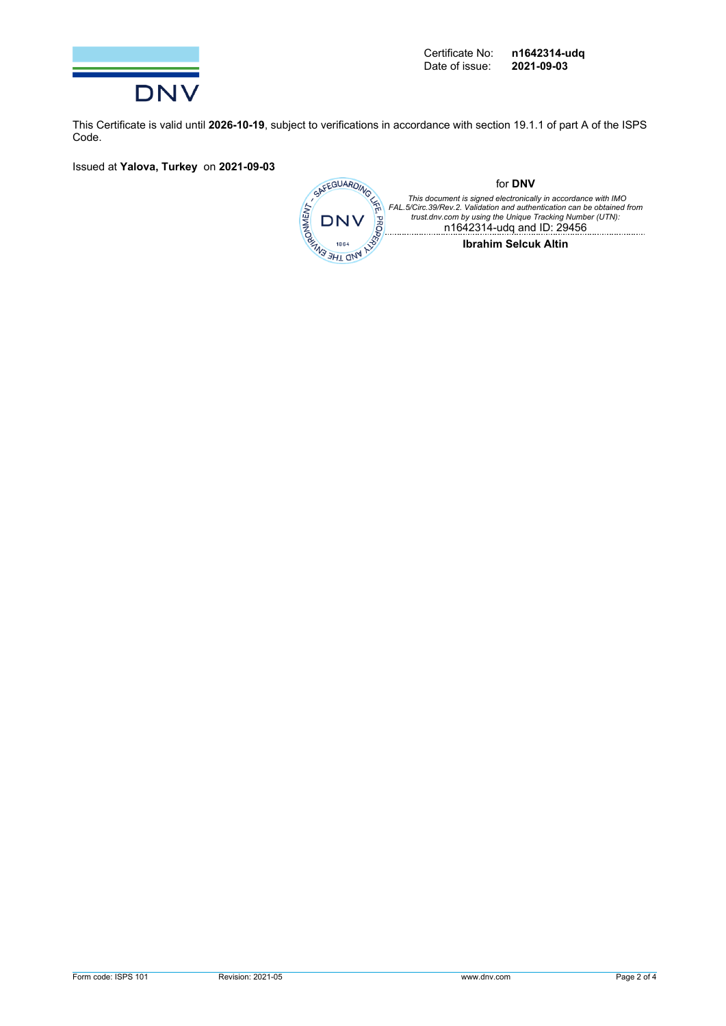

This Certificate is valid until **2026-10-19**, subject to verifications in accordance with section 19.1.1 of part A of the ISPS Code.

Issued at **Yalova, Turkey** on **2021-09-03**

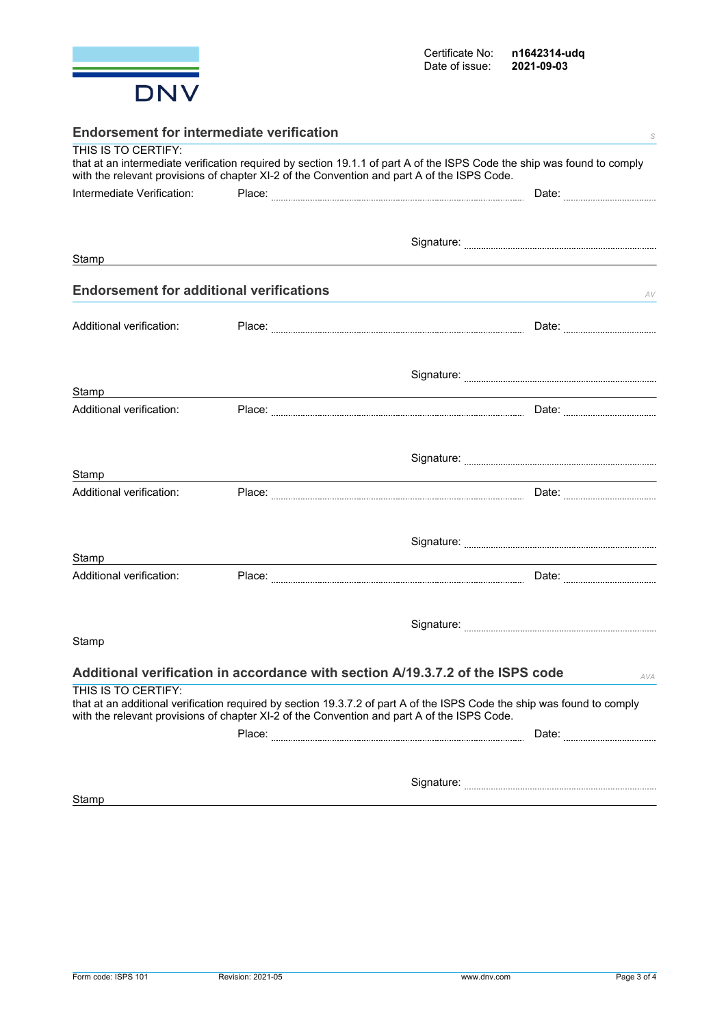

| <b>Endorsement for intermediate verification</b><br>S |  |                                                                                                                                                                                                                        |  |  |
|-------------------------------------------------------|--|------------------------------------------------------------------------------------------------------------------------------------------------------------------------------------------------------------------------|--|--|
| THIS IS TO CERTIFY:                                   |  | that at an intermediate verification required by section 19.1.1 of part A of the ISPS Code the ship was found to comply<br>with the relevant provisions of chapter XI-2 of the Convention and part A of the ISPS Code. |  |  |
| Intermediate Verification:                            |  | Date: <b>Market</b>                                                                                                                                                                                                    |  |  |
|                                                       |  |                                                                                                                                                                                                                        |  |  |
|                                                       |  |                                                                                                                                                                                                                        |  |  |
| Stamp                                                 |  |                                                                                                                                                                                                                        |  |  |
| <b>Endorsement for additional verifications</b>       |  | AV                                                                                                                                                                                                                     |  |  |
|                                                       |  |                                                                                                                                                                                                                        |  |  |
| Additional verification:                              |  | Date: <b>2006</b>                                                                                                                                                                                                      |  |  |
|                                                       |  |                                                                                                                                                                                                                        |  |  |
| Stamp                                                 |  |                                                                                                                                                                                                                        |  |  |
| Additional verification:                              |  |                                                                                                                                                                                                                        |  |  |
|                                                       |  |                                                                                                                                                                                                                        |  |  |
| Stamp                                                 |  |                                                                                                                                                                                                                        |  |  |
| Additional verification:                              |  |                                                                                                                                                                                                                        |  |  |
|                                                       |  |                                                                                                                                                                                                                        |  |  |
| Stamp                                                 |  |                                                                                                                                                                                                                        |  |  |
| Additional verification:                              |  |                                                                                                                                                                                                                        |  |  |
|                                                       |  |                                                                                                                                                                                                                        |  |  |
| Stamp                                                 |  |                                                                                                                                                                                                                        |  |  |
|                                                       |  |                                                                                                                                                                                                                        |  |  |
|                                                       |  | Additional verification in accordance with section A/19.3.7.2 of the ISPS code<br>AVA                                                                                                                                  |  |  |
| THIS IS TO CERTIFY:                                   |  | that at an additional verification required by section 19.3.7.2 of part A of the ISPS Code the ship was found to comply<br>with the relevant provisions of chapter XI-2 of the Convention and part A of the ISPS Code. |  |  |
|                                                       |  |                                                                                                                                                                                                                        |  |  |
|                                                       |  |                                                                                                                                                                                                                        |  |  |
|                                                       |  |                                                                                                                                                                                                                        |  |  |
| Stamp                                                 |  |                                                                                                                                                                                                                        |  |  |